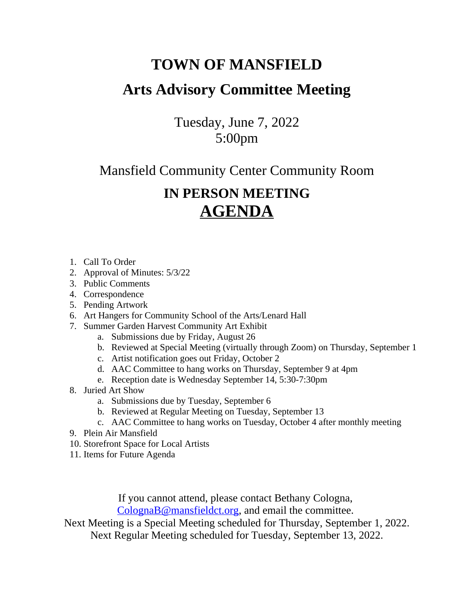## **TOWN OF MANSFIELD Arts Advisory Committee Meeting**

Tuesday, June 7, 2022 5:00pm

Mansfield Community Center Community Room

## **IN PERSON MEETING AGENDA**

- 1. Call To Order
- 2. Approval of Minutes: 5/3/22
- 3. Public Comments
- 4. Correspondence
- 5. Pending Artwork
- 6. Art Hangers for Community School of the Arts/Lenard Hall
- 7. Summer Garden Harvest Community Art Exhibit
	- a. Submissions due by Friday, August 26
	- b. Reviewed at Special Meeting (virtually through Zoom) on Thursday, September 1
	- c. Artist notification goes out Friday, October 2
	- d. AAC Committee to hang works on Thursday, September 9 at 4pm
	- e. Reception date is Wednesday September 14, 5:30-7:30pm
- 8. Juried Art Show
	- a. Submissions due by Tuesday, September 6
	- b. Reviewed at Regular Meeting on Tuesday, September 13
	- c. AAC Committee to hang works on Tuesday, October 4 after monthly meeting
- 9. Plein Air Mansfield
- 10. Storefront Space for Local Artists
- 11. Items for Future Agenda

If you cannot attend, please contact Bethany Cologna, [ColognaB@mansfieldct.org,](mailto:ColognaB@mansfieldct.org) and email the committee.

Next Meeting is a Special Meeting scheduled for Thursday, September 1, 2022. Next Regular Meeting scheduled for Tuesday, September 13, 2022.